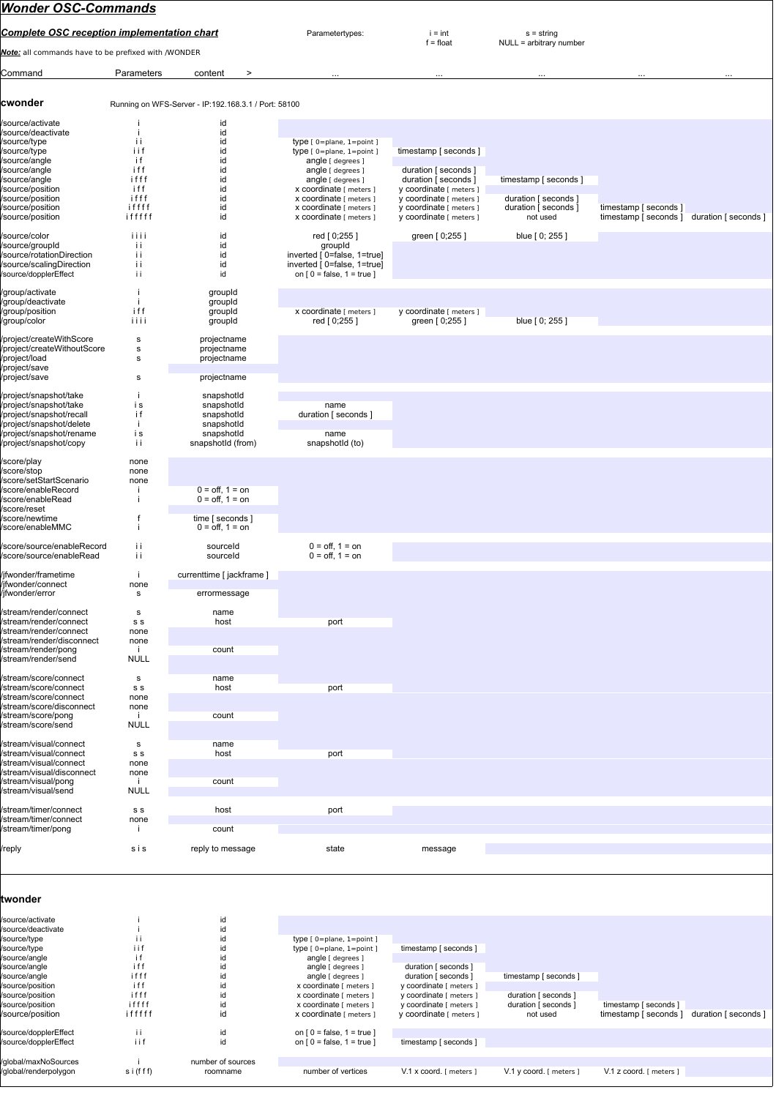## *Wonder OSC-Commands*

| <b>Complete OSC reception implementation chart</b>                                                                                                                                                        |                                                                          |                                                                                                        | Parametertypes:                                                                                                                                                                                                                   | $i = int$                                                                                                                                                                         | $s =$ string                                                                      |                                                |                      |
|-----------------------------------------------------------------------------------------------------------------------------------------------------------------------------------------------------------|--------------------------------------------------------------------------|--------------------------------------------------------------------------------------------------------|-----------------------------------------------------------------------------------------------------------------------------------------------------------------------------------------------------------------------------------|-----------------------------------------------------------------------------------------------------------------------------------------------------------------------------------|-----------------------------------------------------------------------------------|------------------------------------------------|----------------------|
| Note: all commands have to be prefixed with /WONDER                                                                                                                                                       |                                                                          |                                                                                                        |                                                                                                                                                                                                                                   | $f = float$                                                                                                                                                                       | NULL = arbitrary number                                                           |                                                |                      |
| Command                                                                                                                                                                                                   | Parameters                                                               | content<br>$\geq$                                                                                      | $\cdots$                                                                                                                                                                                                                          |                                                                                                                                                                                   |                                                                                   |                                                |                      |
| cwonder                                                                                                                                                                                                   |                                                                          | Running on WFS-Server - IP:192.168.3.1 / Port: 58100                                                   |                                                                                                                                                                                                                                   |                                                                                                                                                                                   |                                                                                   |                                                |                      |
| /source/activate<br>/source/deactivate<br>/source/type<br>/source/type<br>/source/angle<br>/source/angle<br>/source/angle<br>/source/position<br>/source/position<br>/source/position<br>/source/position | İΙ<br>iif<br>i f<br>iff<br>ifff<br>iff<br>ifff<br>iffff<br>ifffff        | id<br>id<br>id<br>id<br>id<br>id<br>id<br>id<br>id<br>id<br>id                                         | type [ 0=plane, 1=point ]<br>type [ 0=plane, 1=point ]<br>angle [ degrees ]<br>angle [ degrees ]<br>angle [ degrees ]<br>x coordinate [ meters ]<br>x coordinate [ meters ]<br>x coordinate [ meters ]<br>x coordinate [ meters ] | timestamp [ seconds ]<br>duration [ seconds ]<br>duration [ seconds ]<br>y coordinate [ meters ]<br>y coordinate [ meters ]<br>y coordinate [ meters ]<br>y coordinate [ meters ] | timestamp [ seconds ]<br>duration [ seconds ]<br>duration [ seconds ]<br>not used | timestamp [ seconds ]<br>timestamp [ seconds ] | duration [ seconds ] |
| /source/color<br>/source/groupId<br>/source/rotationDirection<br>/source/scalingDirection<br>/source/dopplerEffect                                                                                        | iiii<br>Ιİ<br>Ϊİ<br>İΪ<br>İΪ                                             | id<br>id<br>id<br>id<br>id                                                                             | red [0;255]<br>groupId<br>inverted [0=false, 1=true]<br>inverted [0=false, 1=true]<br>on $[0 = false, 1 = true]$                                                                                                                  | green [ 0;255 ]                                                                                                                                                                   | blue [0; 255]                                                                     |                                                |                      |
| /group/activate<br>/group/deactivate<br>/group/position<br>/group/color                                                                                                                                   | ÷<br>iff<br>iiii                                                         | groupId<br>groupId<br>groupId<br>groupId                                                               | x coordinate [ meters ]<br>red [0;255]                                                                                                                                                                                            | y coordinate [ meters ]<br>green [0;255]                                                                                                                                          | blue [ 0; 255 ]                                                                   |                                                |                      |
| /project/createWithScore<br>/project/createWithoutScore<br>/project/load<br>/project/save                                                                                                                 | s<br>s<br>S                                                              | projectname<br>projectname<br>projectname                                                              |                                                                                                                                                                                                                                   |                                                                                                                                                                                   |                                                                                   |                                                |                      |
| /project/save<br>/project/snapshot/take<br>/project/snapshot/take<br>/project/snapshot/recall<br>/project/snapshot/delete<br>/project/snapshot/rename<br>/project/snapshot/copy                           | s<br>j.<br>i s<br>i f<br>÷<br>is<br>Ιİ                                   | projectname<br>snapshotid<br>snapshotId<br>snapshotId<br>snapshotId<br>snapshotId<br>snapshotld (from) | name<br>duration [ seconds ]<br>name<br>snapshotId (to)                                                                                                                                                                           |                                                                                                                                                                                   |                                                                                   |                                                |                      |
| /score/play<br>/score/stop<br>/score/setStartScenario<br>/score/enableRecord<br>/score/enableRead<br>/score/reset<br>/score/newtime                                                                       | none<br>none<br>none                                                     | $0 =$ off, $1 =$ on<br>$0 =$ off, $1 =$ on<br>time [ seconds ]                                         |                                                                                                                                                                                                                                   |                                                                                                                                                                                   |                                                                                   |                                                |                      |
| /score/enableMMC<br>/score/source/enableRecord<br>/score/source/enableRead                                                                                                                                | İΪ<br>İί                                                                 | $0 =$ off. 1 = on<br>sourceld<br>sourceld                                                              | $0 =$ off, $1 =$ on<br>$0 =$ off, $1 =$ on                                                                                                                                                                                        |                                                                                                                                                                                   |                                                                                   |                                                |                      |
| /jfwonder/frametime<br>/ifwonder/connect<br>/jfwonder/error                                                                                                                                               | j.<br>none<br>s                                                          | currenttime [ jackframe ]<br>errormessage                                                              |                                                                                                                                                                                                                                   |                                                                                                                                                                                   |                                                                                   |                                                |                      |
| /stream/render/connect<br>/stream/render/connect<br>/stream/render/connect<br>/stream/render/disconnect<br>/stream/render/pong<br>/stream/render/send                                                     | $\mathbf s$<br>s s<br>none<br>none<br>л.<br><b>NULL</b>                  | name<br>host<br>count                                                                                  | port                                                                                                                                                                                                                              |                                                                                                                                                                                   |                                                                                   |                                                |                      |
| /stream/score/connect<br>/stream/score/connect<br>/stream/score/connect<br>/stream/score/disconnect<br>/stream/score/pong<br>/stream/score/send                                                           | $\mathbf s$<br>s s<br>none<br>none<br><b>NULL</b>                        | name<br>host<br>count                                                                                  | port                                                                                                                                                                                                                              |                                                                                                                                                                                   |                                                                                   |                                                |                      |
| /stream/visual/connect<br>/stream/visual/connect<br>/stream/visual/connect<br>/stream/visual/disconnect<br>/stream/visual/pong<br>/stream/visual/send                                                     | s<br>s s<br>none<br>none<br><b>NULL</b>                                  | name<br>host<br>count                                                                                  | port                                                                                                                                                                                                                              |                                                                                                                                                                                   |                                                                                   |                                                |                      |
| /stream/timer/connect<br>/stream/timer/connect<br>/stream/timer/pong                                                                                                                                      | s s<br>none<br>÷                                                         | host<br>count                                                                                          | port                                                                                                                                                                                                                              |                                                                                                                                                                                   |                                                                                   |                                                |                      |
| /reply                                                                                                                                                                                                    | sis                                                                      | reply to message                                                                                       | state                                                                                                                                                                                                                             | message                                                                                                                                                                           |                                                                                   |                                                |                      |
| twonder                                                                                                                                                                                                   |                                                                          |                                                                                                        |                                                                                                                                                                                                                                   |                                                                                                                                                                                   |                                                                                   |                                                |                      |
| /source/activate<br>/source/deactivate<br>/source/type<br>/source/type<br>/source/angle<br>/source/angle<br>/source/angle<br>/source/position<br>/source/position<br>/source/position<br>/source/position | ÷<br>Ϊİ<br>i i f<br>i f<br>iff<br>ifff<br>iff<br>ifff<br>iffff<br>ifffff | id<br>id<br>id<br>id<br>id<br>id<br>id<br>id<br>id<br>id<br>id                                         | type [ 0=plane, 1=point ]<br>type [ 0=plane, 1=point ]<br>angle [ degrees ]<br>angle [ degrees ]<br>angle [ degrees ]<br>x coordinate [ meters ]<br>x coordinate [ meters ]<br>x coordinate [ meters ]<br>x coordinate [ meters ] | timestamp [ seconds ]<br>duration [ seconds ]<br>duration [ seconds ]<br>y coordinate [ meters ]<br>y coordinate [ meters ]<br>y coordinate [ meters ]<br>y coordinate [ meters ] | timestamp [ seconds ]<br>duration [ seconds ]<br>duration [ seconds ]<br>not used | timestamp [ seconds ]<br>timestamp [ seconds ] | duration [ seconds ] |
| /source/dopplerEffect<br>/source/dopplerEffect                                                                                                                                                            | Ϊİ<br>iif                                                                | id<br>id                                                                                               | on $\lceil 0$ = false, $1$ = true $\lceil$<br>on $[0 = false, 1 = true]$                                                                                                                                                          | timestamp [ seconds ]                                                                                                                                                             |                                                                                   |                                                |                      |

/global/maxNoSources i i number of sources<br>/global/renderpolygon si(f f f) roomname number of vertices

V.1 x coord. [ meters ] V.1 y coord. [ meters ] V.1 z coord. [ meters ]